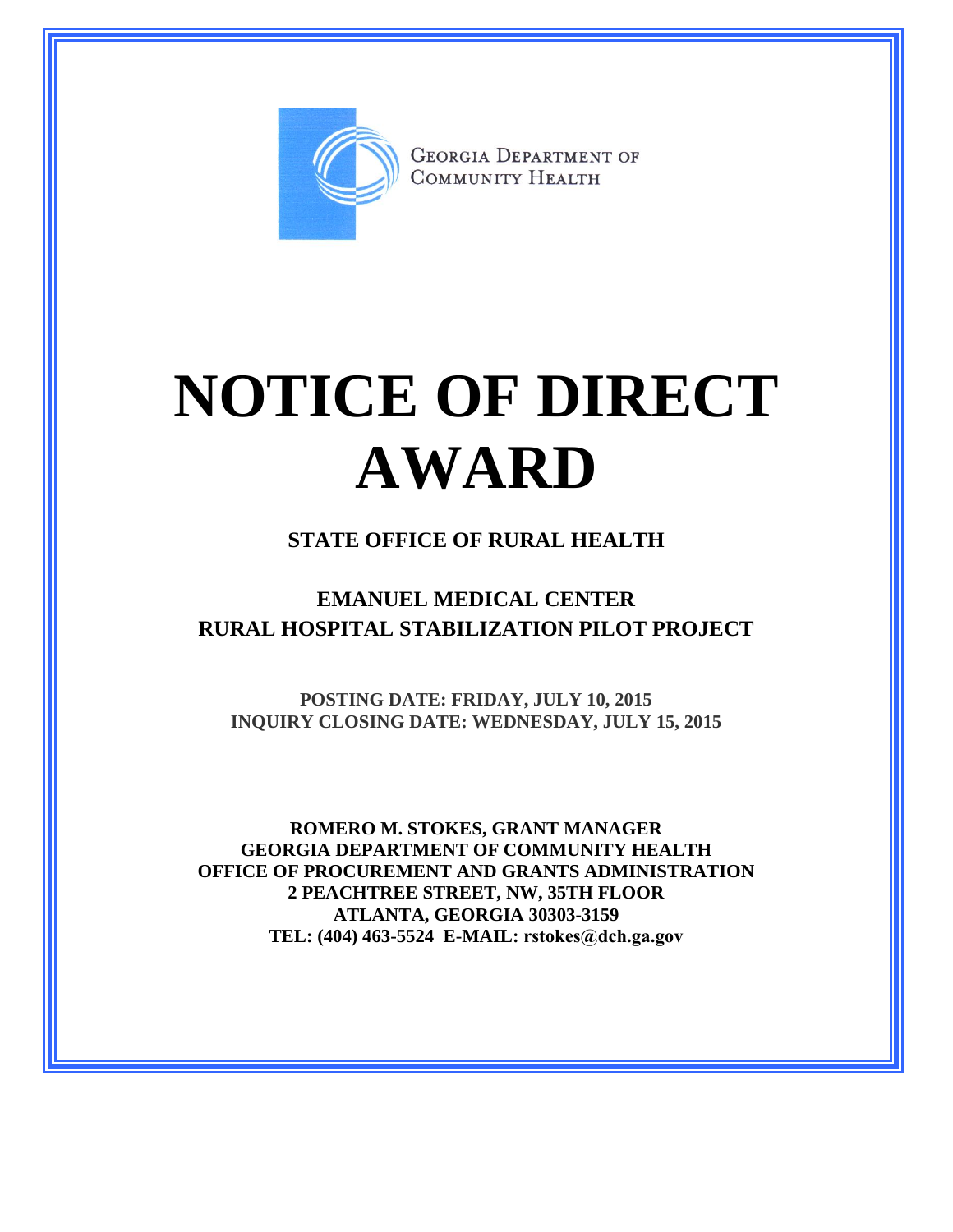

**GEORGIA DEPARTMENT OF** COMMUNITY HEALTH

# **NOTICE OF DIRECT AWARD**

#### **STATE OFFICE OF RURAL HEALTH**

### **EMANUEL MEDICAL CENTER RURAL HOSPITAL STABILIZATION PILOT PROJECT**

**POSTING DATE: FRIDAY, JULY 10, 2015 INQUIRY CLOSING DATE: WEDNESDAY, JULY 15, 2015**

**ROMERO M. STOKES, GRANT MANAGER GEORGIA DEPARTMENT OF COMMUNITY HEALTH OFFICE OF PROCUREMENT AND GRANTS ADMINISTRATION 2 PEACHTREE STREET, NW, 35TH FLOOR ATLANTA, GEORGIA 30303-3159 TEL: (404) 463-5524 E-MAIL: rstokes@dch.ga.gov**